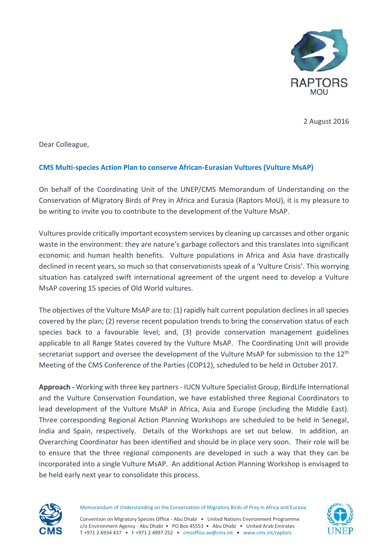

2 August 2016

Dear Colleague,

## **CMS Multi-species Action Plan to conserve African-Eurasian Vultures (Vulture MsAP)**

On behalf of the Coordinating Unit of the UNEP/CMS Memorandum of Understanding on the Conservation of Migratory Birds of Prey in Africa and Eurasia (Raptors MoU), it is my pleasure to be writing to invite you to contribute to the development of the Vulture MsAP.

Vultures provide critically important ecosystem services by cleaning up carcasses and other organic waste in the environment: they are nature's garbage collectors and this translates into significant economic and human health benefits. Vulture populations in Africa and Asia have drastically declined in recent years, so much so that conservationists speak of a 'Vulture Crisis'. This worrying situation has catalyzed swift international agreement of the urgent need to develop a Vulture MsAP covering 15 species of Old World vultures.

The objectives of the Vulture MsAP are to: (1) rapidly halt current population declines in all species covered by the plan; (2) reverse recent population trends to bring the conservation status of each species back to a favourable level; and, (3) provide conservation management guidelines applicable to all Range States covered by the Vulture MsAP. The Coordinating Unit will provide secretariat support and oversee the development of the Vulture MsAP for submission to the 12<sup>th</sup> Meeting of the CMS Conference of the Parties (COP12), scheduled to be held in October 2017.

**Approach -** Working with three key partners - IUCN Vulture Specialist Group, BirdLife International and the Vulture Conservation Foundation, we have established three Regional Coordinators to lead development of the Vulture MsAP in Africa, Asia and Europe (including the Middle East). Three corresponding Regional Action Planning Workshops are scheduled to be held in Senegal, India and Spain, respectively. Details of the Workshops are set out below. In addition, an Overarching Coordinator has been identified and should be in place very soon. Their role will be to ensure that the three regional components are developed in such a way that they can be incorporated into a single Vulture MsAP. An additional Action Planning Workshop is envisaged to be held early next year to consolidate this process.



Memorandum of Understanding on the Conservation of Migratory Birds of Prey in Africa and Eurasia